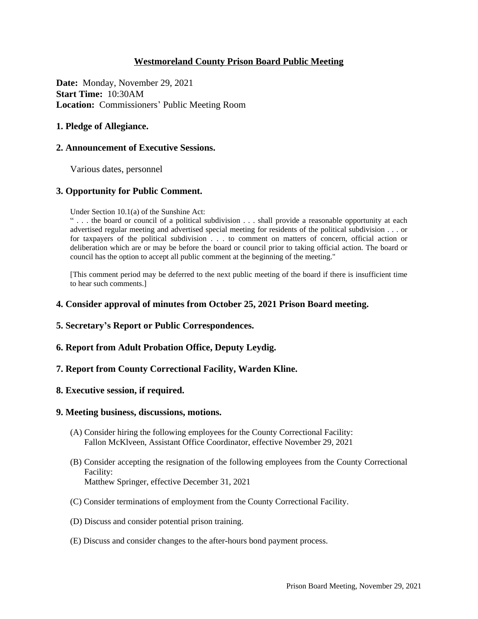# **Westmoreland County Prison Board Public Meeting**

**Date:** Monday, November 29, 2021 **Start Time:** 10:30AM **Location:** Commissioners' Public Meeting Room

## **1. Pledge of Allegiance.**

#### **2. Announcement of Executive Sessions.**

Various dates, personnel

## **3. Opportunity for Public Comment.**

Under Section 10.1(a) of the Sunshine Act:

" . . . the board or council of a political subdivision . . . shall provide a reasonable opportunity at each advertised regular meeting and advertised special meeting for residents of the political subdivision . . . or for taxpayers of the political subdivision . . . to comment on matters of concern, official action or deliberation which are or may be before the board or council prior to taking official action. The board or council has the option to accept all public comment at the beginning of the meeting."

[This comment period may be deferred to the next public meeting of the board if there is insufficient time to hear such comments.]

#### **4. Consider approval of minutes from October 25, 2021 Prison Board meeting.**

- **5. Secretary's Report or Public Correspondences.**
- **6. Report from Adult Probation Office, Deputy Leydig.**
- **7. Report from County Correctional Facility, Warden Kline.**

#### **8. Executive session, if required.**

#### **9. Meeting business, discussions, motions.**

- (A) Consider hiring the following employees for the County Correctional Facility: Fallon McKlveen, Assistant Office Coordinator, effective November 29, 2021
- (B) Consider accepting the resignation of the following employees from the County Correctional Facility: Matthew Springer, effective December 31, 2021
- (C) Consider terminations of employment from the County Correctional Facility.
- (D) Discuss and consider potential prison training.
- (E) Discuss and consider changes to the after-hours bond payment process.